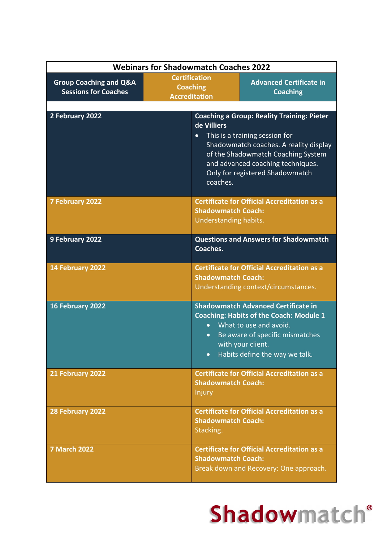| <b>Webinars for Shadowmatch Coaches 2022</b>                     |                                                                 |                                                                                                  |                                                                                                                                                                                                                                             |
|------------------------------------------------------------------|-----------------------------------------------------------------|--------------------------------------------------------------------------------------------------|---------------------------------------------------------------------------------------------------------------------------------------------------------------------------------------------------------------------------------------------|
| <b>Group Coaching and Q&amp;A</b><br><b>Sessions for Coaches</b> | <b>Certification</b><br><b>Coaching</b><br><b>Accreditation</b> |                                                                                                  | <b>Advanced Certificate in</b><br><b>Coaching</b>                                                                                                                                                                                           |
| 2 February 2022                                                  |                                                                 | de Villiers<br>$\bullet$<br>coaches.                                                             | <b>Coaching a Group: Reality Training: Pieter</b><br>This is a training session for<br>Shadowmatch coaches. A reality display<br>of the Shadowmatch Coaching System<br>and advanced coaching techniques.<br>Only for registered Shadowmatch |
| 7 February 2022                                                  |                                                                 | <b>Shadowmatch Coach:</b><br>Understanding habits.                                               | <b>Certificate for Official Accreditation as a</b>                                                                                                                                                                                          |
| 9 February 2022                                                  |                                                                 | Coaches.                                                                                         | <b>Questions and Answers for Shadowmatch</b>                                                                                                                                                                                                |
| 14 February 2022                                                 |                                                                 | <b>Shadowmatch Coach:</b>                                                                        | <b>Certificate for Official Accreditation as a</b><br>Understanding context/circumstances.                                                                                                                                                  |
| 16 February 2022                                                 |                                                                 | $\bullet$<br>$\bullet$                                                                           | <b>Shadowmatch Advanced Certificate in</b><br><b>Coaching: Habits of the Coach: Module 1</b><br>What to use and avoid.<br>Be aware of specific mismatches<br>with your client.<br>• Habits define the way we talk.                          |
| 21 February 2022                                                 |                                                                 | <b>Certificate for Official Accreditation as a</b><br><b>Shadowmatch Coach:</b><br><b>Injury</b> |                                                                                                                                                                                                                                             |
| 28 February 2022                                                 |                                                                 | <b>Shadowmatch Coach:</b><br>Stacking.                                                           | <b>Certificate for Official Accreditation as a</b>                                                                                                                                                                                          |
| <b>7 March 2022</b>                                              |                                                                 | <b>Shadowmatch Coach:</b>                                                                        | <b>Certificate for Official Accreditation as a</b><br>Break down and Recovery: One approach.                                                                                                                                                |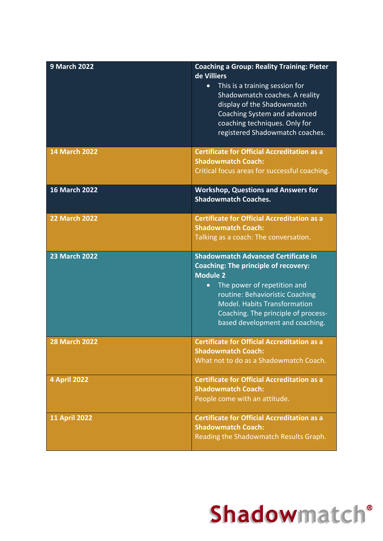| <b>9 March 2022</b>  | <b>Coaching a Group: Reality Training: Pieter</b><br>de Villiers<br>This is a training session for<br>Shadowmatch coaches. A reality<br>display of the Shadowmatch<br>Coaching System and advanced<br>coaching techniques. Only for<br>registered Shadowmatch coaches.                                       |
|----------------------|--------------------------------------------------------------------------------------------------------------------------------------------------------------------------------------------------------------------------------------------------------------------------------------------------------------|
| <b>14 March 2022</b> | <b>Certificate for Official Accreditation as a</b><br><b>Shadowmatch Coach:</b><br>Critical focus areas for successful coaching.                                                                                                                                                                             |
| <b>16 March 2022</b> | <b>Workshop, Questions and Answers for</b><br><b>Shadowmatch Coaches.</b>                                                                                                                                                                                                                                    |
| <b>22 March 2022</b> | <b>Certificate for Official Accreditation as a</b><br><b>Shadowmatch Coach:</b><br>Talking as a coach: The conversation.                                                                                                                                                                                     |
| <b>23 March 2022</b> | <b>Shadowmatch Advanced Certificate in</b><br><b>Coaching: The principle of recovery:</b><br><b>Module 2</b><br>The power of repetition and<br>$\bullet$<br>routine: Behavioristic Coaching<br><b>Model. Habits Transformation</b><br>Coaching. The principle of process-<br>based development and coaching. |
| <b>28 March 2022</b> | <b>Certificate for Official Accreditation as a</b><br><b>Shadowmatch Coach:</b><br>What not to do as a Shadowmatch Coach.                                                                                                                                                                                    |
| 4 April 2022         | <b>Certificate for Official Accreditation as a</b><br><b>Shadowmatch Coach:</b><br>People come with an attitude.                                                                                                                                                                                             |
| <b>11 April 2022</b> | <b>Certificate for Official Accreditation as a</b><br><b>Shadowmatch Coach:</b><br>Reading the Shadowmatch Results Graph.                                                                                                                                                                                    |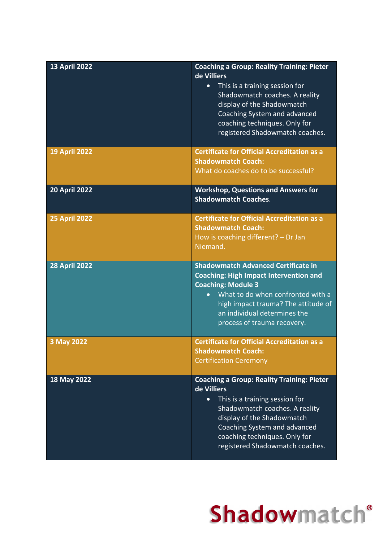| <b>13 April 2022</b> | <b>Coaching a Group: Reality Training: Pieter</b><br>de Villiers<br>This is a training session for<br>Shadowmatch coaches. A reality<br>display of the Shadowmatch<br>Coaching System and advanced<br>coaching techniques. Only for<br>registered Shadowmatch coaches.              |
|----------------------|-------------------------------------------------------------------------------------------------------------------------------------------------------------------------------------------------------------------------------------------------------------------------------------|
| <b>19 April 2022</b> | <b>Certificate for Official Accreditation as a</b><br><b>Shadowmatch Coach:</b><br>What do coaches do to be successful?                                                                                                                                                             |
| <b>20 April 2022</b> | <b>Workshop, Questions and Answers for</b><br><b>Shadowmatch Coaches.</b>                                                                                                                                                                                                           |
| <b>25 April 2022</b> | <b>Certificate for Official Accreditation as a</b><br><b>Shadowmatch Coach:</b><br>How is coaching different? $-$ Dr Jan<br>Niemand.                                                                                                                                                |
| <b>28 April 2022</b> | <b>Shadowmatch Advanced Certificate in</b><br><b>Coaching: High Impact Intervention and</b><br><b>Coaching: Module 3</b><br>What to do when confronted with a<br>$\bullet$<br>high impact trauma? The attitude of<br>an individual determines the<br>process of trauma recovery.    |
| 3 May 2022           | <b>Certificate for Official Accreditation as a</b><br><b>Shadowmatch Coach:</b><br><b>Certification Ceremony</b>                                                                                                                                                                    |
| 18 May 2022          | <b>Coaching a Group: Reality Training: Pieter</b><br>de Villiers<br>This is a training session for<br>$\bullet$<br>Shadowmatch coaches. A reality<br>display of the Shadowmatch<br>Coaching System and advanced<br>coaching techniques. Only for<br>registered Shadowmatch coaches. |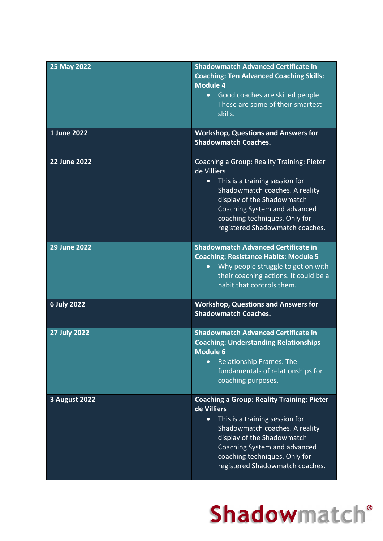| 25 May 2022          | <b>Shadowmatch Advanced Certificate in</b><br><b>Coaching: Ten Advanced Coaching Skills:</b><br><b>Module 4</b><br>• Good coaches are skilled people.<br>These are some of their smartest<br>skills.                                                                                |
|----------------------|-------------------------------------------------------------------------------------------------------------------------------------------------------------------------------------------------------------------------------------------------------------------------------------|
| 1 June 2022          | <b>Workshop, Questions and Answers for</b><br><b>Shadowmatch Coaches.</b>                                                                                                                                                                                                           |
| <b>22 June 2022</b>  | Coaching a Group: Reality Training: Pieter<br>de Villiers<br>This is a training session for<br>$\bullet$<br>Shadowmatch coaches. A reality<br>display of the Shadowmatch<br>Coaching System and advanced<br>coaching techniques. Only for<br>registered Shadowmatch coaches.        |
| <b>29 June 2022</b>  | <b>Shadowmatch Advanced Certificate in</b><br><b>Coaching: Resistance Habits: Module 5</b><br>Why people struggle to get on with<br>$\bullet$<br>their coaching actions. It could be a<br>habit that controls them.                                                                 |
| <b>6 July 2022</b>   | <b>Workshop, Questions and Answers for</b><br><b>Shadowmatch Coaches.</b>                                                                                                                                                                                                           |
| <b>27 July 2022</b>  | <b>Shadowmatch Advanced Certificate in</b><br><b>Coaching: Understanding Relationships</b><br><b>Module 6</b><br>Relationship Frames. The<br>$\bullet$<br>fundamentals of relationships for<br>coaching purposes.                                                                   |
| <b>3 August 2022</b> | <b>Coaching a Group: Reality Training: Pieter</b><br>de Villiers<br>This is a training session for<br>$\bullet$<br>Shadowmatch coaches. A reality<br>display of the Shadowmatch<br>Coaching System and advanced<br>coaching techniques. Only for<br>registered Shadowmatch coaches. |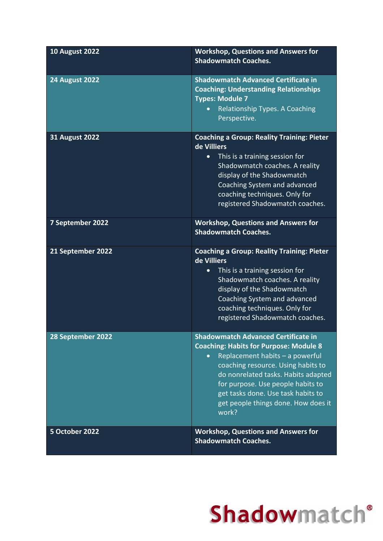| <b>10 August 2022</b> | <b>Workshop, Questions and Answers for</b><br><b>Shadowmatch Coaches.</b>                                                                                                                                                                                                                                                              |
|-----------------------|----------------------------------------------------------------------------------------------------------------------------------------------------------------------------------------------------------------------------------------------------------------------------------------------------------------------------------------|
| <b>24 August 2022</b> | <b>Shadowmatch Advanced Certificate in</b><br><b>Coaching: Understanding Relationships</b><br><b>Types: Module 7</b><br>Relationship Types. A Coaching<br>$\bullet$<br>Perspective.                                                                                                                                                    |
| <b>31 August 2022</b> | <b>Coaching a Group: Reality Training: Pieter</b><br>de Villiers<br>This is a training session for<br>$\bullet$<br>Shadowmatch coaches. A reality<br>display of the Shadowmatch<br>Coaching System and advanced<br>coaching techniques. Only for<br>registered Shadowmatch coaches.                                                    |
| 7 September 2022      | <b>Workshop, Questions and Answers for</b><br><b>Shadowmatch Coaches.</b>                                                                                                                                                                                                                                                              |
| 21 September 2022     | <b>Coaching a Group: Reality Training: Pieter</b><br>de Villiers<br>This is a training session for<br>$\bullet$<br>Shadowmatch coaches. A reality<br>display of the Shadowmatch<br>Coaching System and advanced<br>coaching techniques. Only for<br>registered Shadowmatch coaches.                                                    |
| 28 September 2022     | <b>Shadowmatch Advanced Certificate in</b><br><b>Coaching: Habits for Purpose: Module 8</b><br>Replacement habits - a powerful<br>coaching resource. Using habits to<br>do nonrelated tasks. Habits adapted<br>for purpose. Use people habits to<br>get tasks done. Use task habits to<br>get people things done. How does it<br>work? |
| 5 October 2022        | <b>Workshop, Questions and Answers for</b><br><b>Shadowmatch Coaches.</b>                                                                                                                                                                                                                                                              |